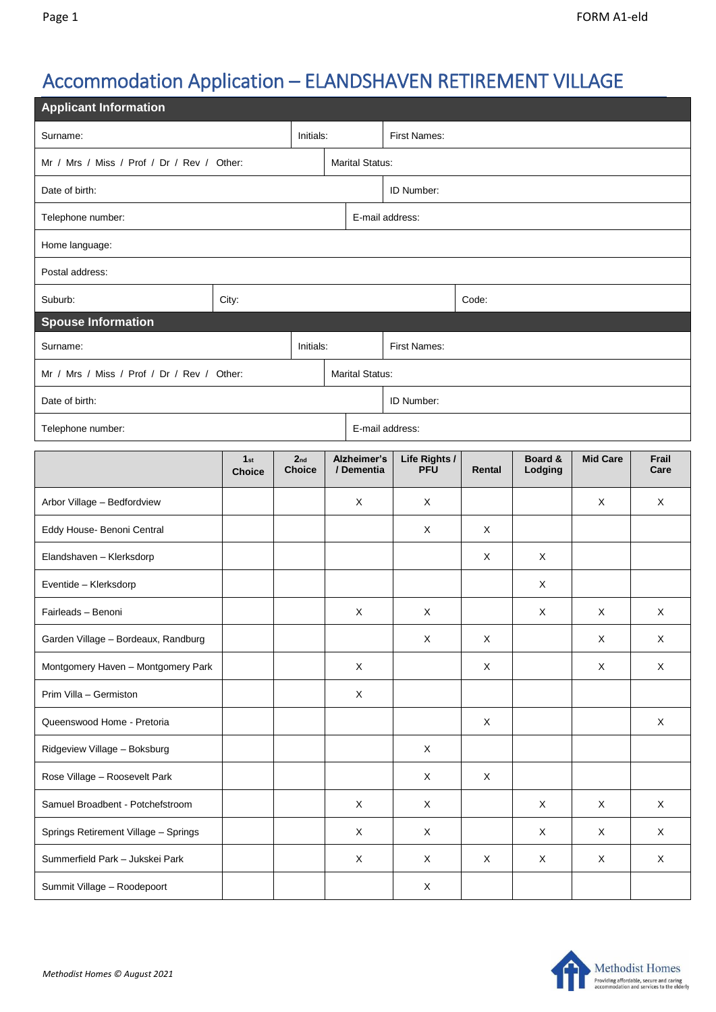# Accommodation Application – ELANDSHAVEN RETIREMENT VILLAGE

| <b>Applicant Information</b>               |                                  |                                  |  |                           |                             |             |                    |                 |               |  |  |
|--------------------------------------------|----------------------------------|----------------------------------|--|---------------------------|-----------------------------|-------------|--------------------|-----------------|---------------|--|--|
| Surname:<br>Initials:                      |                                  |                                  |  | <b>First Names:</b>       |                             |             |                    |                 |               |  |  |
| Mr / Mrs / Miss / Prof / Dr / Rev / Other: |                                  |                                  |  | <b>Marital Status:</b>    |                             |             |                    |                 |               |  |  |
| Date of birth:                             |                                  |                                  |  | ID Number:                |                             |             |                    |                 |               |  |  |
| Telephone number:                          |                                  |                                  |  | E-mail address:           |                             |             |                    |                 |               |  |  |
| Home language:                             |                                  |                                  |  |                           |                             |             |                    |                 |               |  |  |
| Postal address:                            |                                  |                                  |  |                           |                             |             |                    |                 |               |  |  |
| Suburb:                                    | City:                            |                                  |  |                           |                             | Code:       |                    |                 |               |  |  |
| <b>Spouse Information</b>                  |                                  |                                  |  |                           |                             |             |                    |                 |               |  |  |
| Initials:<br>Surname:                      |                                  |                                  |  | <b>First Names:</b>       |                             |             |                    |                 |               |  |  |
| Mr / Mrs / Miss / Prof / Dr / Rev / Other: |                                  |                                  |  | <b>Marital Status:</b>    |                             |             |                    |                 |               |  |  |
| Date of birth:                             |                                  |                                  |  | ID Number:                |                             |             |                    |                 |               |  |  |
| Telephone number:                          |                                  |                                  |  | E-mail address:           |                             |             |                    |                 |               |  |  |
|                                            | 1 <sub>st</sub><br><b>Choice</b> | 2 <sub>nd</sub><br><b>Choice</b> |  | Alzheimer's<br>/ Dementia | Life Rights /<br><b>PFU</b> | Rental      | Board &<br>Lodging | <b>Mid Care</b> | Frail<br>Care |  |  |
| Arbor Village - Bedfordview                |                                  |                                  |  | X                         | X                           |             |                    | X               | X             |  |  |
| Eddy House- Benoni Central                 |                                  |                                  |  |                           | Χ                           | X           |                    |                 |               |  |  |
| Elandshaven - Klerksdorp                   |                                  |                                  |  |                           |                             | X           | X                  |                 |               |  |  |
| Eventide - Klerksdorp                      |                                  |                                  |  |                           |                             |             | X                  |                 |               |  |  |
| Fairleads - Benoni                         |                                  |                                  |  | X                         | X                           |             | X                  | X               | X             |  |  |
| Garden Village - Bordeaux, Randburg        |                                  |                                  |  |                           | X                           | Χ           |                    | X               | X             |  |  |
| Montgomery Haven - Montgomery Park         |                                  |                                  |  | X                         |                             | X           |                    | X               | X             |  |  |
| Prim Villa - Germiston                     |                                  |                                  |  | X                         |                             |             |                    |                 |               |  |  |
| Queenswood Home - Pretoria                 |                                  |                                  |  |                           |                             | $\mathsf X$ |                    |                 | X             |  |  |
| Ridgeview Village - Boksburg               |                                  |                                  |  |                           | X                           |             |                    |                 |               |  |  |
| Rose Village - Roosevelt Park              |                                  |                                  |  |                           | X                           | $\mathsf X$ |                    |                 |               |  |  |
| Samuel Broadbent - Potchefstroom           |                                  |                                  |  | $\mathsf X$               | $\mathsf X$                 |             | X                  | X               | $\mathsf X$   |  |  |
| Springs Retirement Village - Springs       |                                  |                                  |  | X                         | X                           |             | X                  | Χ               | X             |  |  |
| Summerfield Park - Jukskei Park            |                                  |                                  |  | X                         | X                           | X           | X                  | X               | X             |  |  |
| Summit Village - Roodepoort                |                                  |                                  |  |                           | X                           |             |                    |                 |               |  |  |

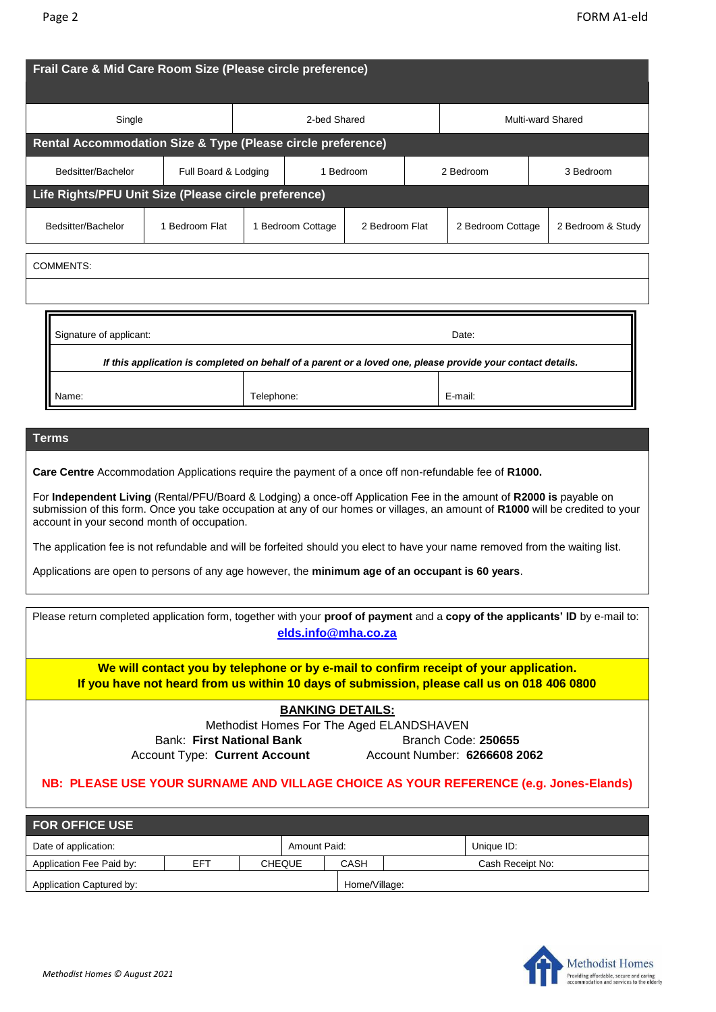| Frail Care & Mid Care Room Size (Please circle preference)                                                                                                                                                                                                                                                                                                                                                                                                                                                                                                                                                                                                 |                      |           |                                     |  |                   |                   |                   |  |  |
|------------------------------------------------------------------------------------------------------------------------------------------------------------------------------------------------------------------------------------------------------------------------------------------------------------------------------------------------------------------------------------------------------------------------------------------------------------------------------------------------------------------------------------------------------------------------------------------------------------------------------------------------------------|----------------------|-----------|-------------------------------------|--|-------------------|-------------------|-------------------|--|--|
| Single                                                                                                                                                                                                                                                                                                                                                                                                                                                                                                                                                                                                                                                     | 2-bed Shared         |           |                                     |  | Multi-ward Shared |                   |                   |  |  |
| Rental Accommodation Size & Type (Please circle preference)                                                                                                                                                                                                                                                                                                                                                                                                                                                                                                                                                                                                |                      |           |                                     |  |                   |                   |                   |  |  |
| Bedsitter/Bachelor                                                                                                                                                                                                                                                                                                                                                                                                                                                                                                                                                                                                                                         | Full Board & Lodging | 1 Bedroom |                                     |  |                   | 2 Bedroom         | 3 Bedroom         |  |  |
| Life Rights/PFU Unit Size (Please circle preference)                                                                                                                                                                                                                                                                                                                                                                                                                                                                                                                                                                                                       |                      |           |                                     |  |                   |                   |                   |  |  |
| Bedsitter/Bachelor                                                                                                                                                                                                                                                                                                                                                                                                                                                                                                                                                                                                                                         | 1 Bedroom Flat       |           | 1 Bedroom Cottage<br>2 Bedroom Flat |  |                   | 2 Bedroom Cottage | 2 Bedroom & Study |  |  |
| <b>COMMENTS:</b>                                                                                                                                                                                                                                                                                                                                                                                                                                                                                                                                                                                                                                           |                      |           |                                     |  |                   |                   |                   |  |  |
|                                                                                                                                                                                                                                                                                                                                                                                                                                                                                                                                                                                                                                                            |                      |           |                                     |  |                   |                   |                   |  |  |
| Signature of applicant:<br>Date:<br>If this application is completed on behalf of a parent or a loved one, please provide your contact details.                                                                                                                                                                                                                                                                                                                                                                                                                                                                                                            |                      |           |                                     |  |                   |                   |                   |  |  |
| Name:                                                                                                                                                                                                                                                                                                                                                                                                                                                                                                                                                                                                                                                      | Telephone:           |           |                                     |  |                   | E-mail:           |                   |  |  |
| Terms<br>Care Centre Accommodation Applications require the payment of a once off non-refundable fee of R1000.<br>For Independent Living (Rental/PFU/Board & Lodging) a once-off Application Fee in the amount of R2000 is payable on<br>submission of this form. Once you take occupation at any of our homes or villages, an amount of R1000 will be credited to your<br>account in your second month of occupation.<br>The application fee is not refundable and will be forfeited should you elect to have your name removed from the waiting list.<br>Applications are open to persons of any age however, the minimum age of an occupant is 60 years |                      |           |                                     |  |                   |                   |                   |  |  |
| Please return completed application form, together with your proof of payment and a copy of the applicants' ID by e-mail to:<br>elds.info@mha.co.za                                                                                                                                                                                                                                                                                                                                                                                                                                                                                                        |                      |           |                                     |  |                   |                   |                   |  |  |
| We will contact you by telephone or by e-mail to confirm receipt of your application.<br>If you have not heard from us within 10 days of submission, please call us on 018 406 0800                                                                                                                                                                                                                                                                                                                                                                                                                                                                        |                      |           |                                     |  |                   |                   |                   |  |  |
| <b>BANKING DETAILS:</b><br>Methodist Homes For The Aged ELANDSHAVEN<br><b>Bank: First National Bank</b><br>Branch Code: 250655                                                                                                                                                                                                                                                                                                                                                                                                                                                                                                                             |                      |           |                                     |  |                   |                   |                   |  |  |

Account Type: **Current Account** Account Number: **6266608 2062**

# **NB: PLEASE USE YOUR SURNAME AND VILLAGE CHOICE AS YOUR REFERENCE (e.g. Jones-Elands)**

| <b>FOR OFFICE USE</b>                |     |  |               |               |  |                  |  |  |  |
|--------------------------------------|-----|--|---------------|---------------|--|------------------|--|--|--|
| Date of application:<br>Amount Paid: |     |  |               |               |  | Unique ID:       |  |  |  |
| Application Fee Paid by:             | EFT |  | <b>CHEQUE</b> | CASH          |  | Cash Receipt No: |  |  |  |
| Application Captured by:             |     |  |               | Home/Village: |  |                  |  |  |  |

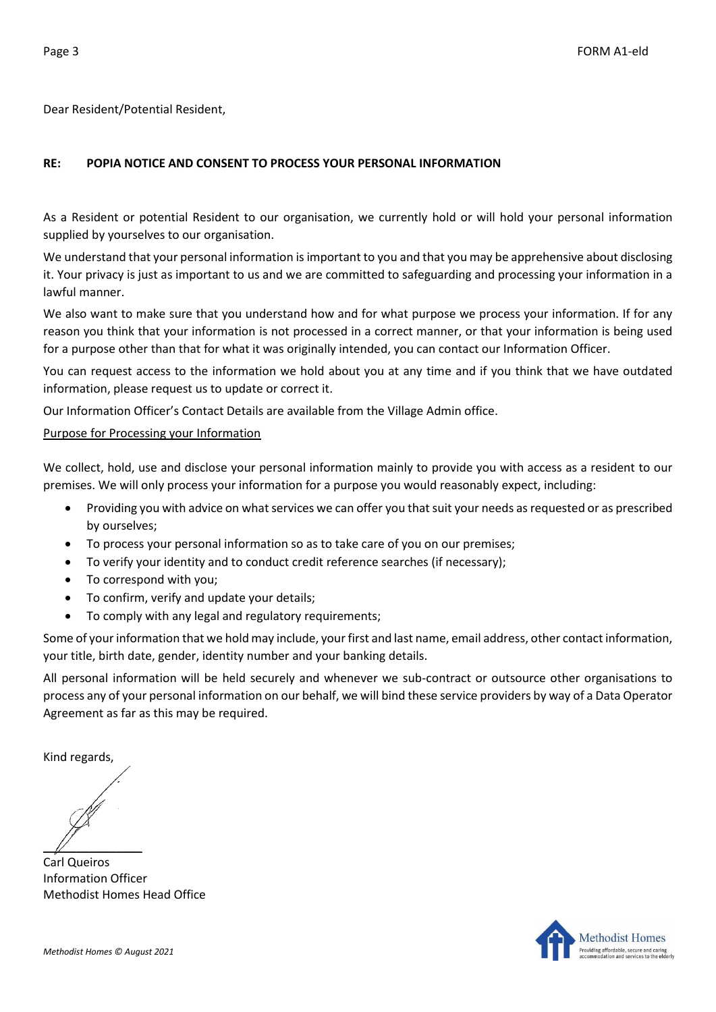Dear Resident/Potential Resident,

## **RE: POPIA NOTICE AND CONSENT TO PROCESS YOUR PERSONAL INFORMATION**

As a Resident or potential Resident to our organisation, we currently hold or will hold your personal information supplied by yourselves to our organisation.

We understand that your personal information is important to you and that you may be apprehensive about disclosing it. Your privacy is just as important to us and we are committed to safeguarding and processing your information in a lawful manner.

We also want to make sure that you understand how and for what purpose we process your information. If for any reason you think that your information is not processed in a correct manner, or that your information is being used for a purpose other than that for what it was originally intended, you can contact our Information Officer.

You can request access to the information we hold about you at any time and if you think that we have outdated information, please request us to update or correct it.

Our Information Officer's Contact Details are available from the Village Admin office.

### Purpose for Processing your Information

We collect, hold, use and disclose your personal information mainly to provide you with access as a resident to our premises. We will only process your information for a purpose you would reasonably expect, including:

- Providing you with advice on what services we can offer you that suit your needs as requested or as prescribed by ourselves;
- To process your personal information so as to take care of you on our premises;
- To verify your identity and to conduct credit reference searches (if necessary);
- To correspond with you;
- To confirm, verify and update your details;
- To comply with any legal and regulatory requirements;

Some of your information that we hold may include, your first and last name, email address, other contact information, your title, birth date, gender, identity number and your banking details.

All personal information will be held securely and whenever we sub-contract or outsource other organisations to process any of your personal information on our behalf, we will bind these service providers by way of a Data Operator Agreement as far as this may be required.

Kind regards,

 $\mathbb{Z}$ 

Carl Queiros Information Officer Methodist Homes Head Office